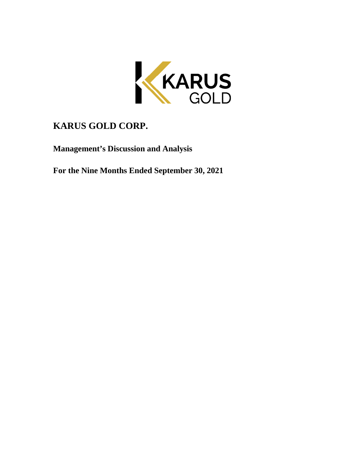

# **KARUS GOLD CORP.**

**Management's Discussion and Analysis** 

**For the Nine Months Ended September 30, 2021**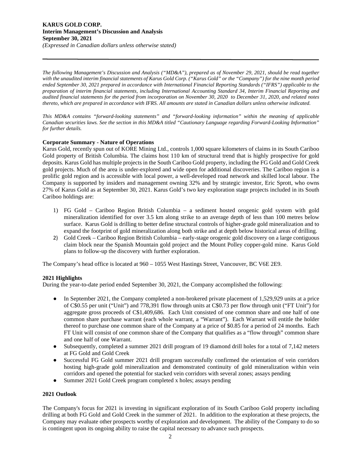*The following Management's Discussion and Analysis ("MD&A"), prepared as of November 29, 2021, should be read together with the unaudited interim financial statements of Karus Gold Corp. ("Karus Gold" or the "Company") for the nine month period ended September 30, 2021 prepared in accordance with International Financial Reporting Standards ("IFRS") applicable to the preparation of interim financial statements, including International Accounting Standard 34, Interim Financial Reporting and audited financial statements for the period from incorporation on November 30, 2020 to December 31, 2020, and related notes thereto, which are prepared in accordance with IFRS. All amounts are stated in Canadian dollars unless otherwise indicated.* 

*This MD&A contains "forward-looking statements" and "forward-looking information" within the meaning of applicable Canadian securities laws. See the section in this MD&A titled "Cautionary Language regarding Forward-Looking Information" for further details.* 

## **Corporate Summary - Nature of Operations**

Karus Gold, recently spun out of KORE Mining Ltd., controls 1,000 square kilometers of claims in its South Cariboo Gold property of British Columbia. The claims host 110 km of structural trend that is highly prospective for gold deposits. Karus Gold has multiple projects in the South Cariboo Gold property, including the FG Gold and Gold Creek gold projects. Much of the area is under-explored and wide open for additional discoveries. The Cariboo region is a prolific gold region and is accessible with local power, a well-developed road network and skilled local labour. The Company is supported by insiders and management owning 32% and by strategic investor, Eric Sprott, who owns 27% of Karus Gold as at September 30, 2021. Karus Gold's two key exploration stage projects included in its South Cariboo holdings are:

- 1) FG Gold Cariboo Region British Columbia a sediment hosted orogenic gold system with gold mineralization identified for over 3.5 km along strike to an average depth of less than 100 metres below surface. Karus Gold is drilling to better define structural controls of higher-grade gold mineralization and to expand the footprint of gold mineralization along both strike and at depth below historical areas of drilling.
- 2) Gold Creek Cariboo Region British Columbia early-stage orogenic gold discovery on a large contiguous claim block near the Spanish Mountain gold project and the Mount Polley copper-gold mine. Karus Gold plans to follow-up the discovery with further exploration.

The Company's head office is located at 960 – 1055 West Hastings Street, Vancouver, BC V6E 2E9.

## **2021 Highlights**

During the year-to-date period ended September 30, 2021, the Company accomplished the following:

- In September 2021, the Company completed a non-brokered private placement of 1,529,929 units at a price of C\$0.55 per unit ("Unit") and 778,391 flow through units at C\$0.73 per flow through unit ("FT Unit") for aggregate gross proceeds of C\$1,409,686. Each Unit consisted of one common share and one half of one common share purchase warrant (each whole warrant, a "Warrant"). Each Warrant will entitle the holder thereof to purchase one common share of the Company at a price of \$0.85 for a period of 24 months. Each FT Unit will consist of one common share of the Company that qualifies as a "flow through" common share and one half of one Warrant.
- Subsequently, completed a summer 2021 drill program of 19 diamond drill holes for a total of 7,142 meters at FG Gold and Gold Creek
- Successful FG Gold summer 2021 drill program successfully confirmed the orientation of vein corridors hosting high-grade gold mineralization and demonstrated continuity of gold mineralization within vein corridors and opened the potential for stacked vein corridors with several zones; assays pending
- Summer 2021 Gold Creek program completed x holes; assays pending

## **2021 Outlook**

The Company's focus for 2021 is investing in significant exploration of its South Cariboo Gold property including drilling at both FG Gold and Gold Creek in the summer of 2021. In addition to the exploration at these projects, the Company may evaluate other prospects worthy of exploration and development. The ability of the Company to do so is contingent upon its ongoing ability to raise the capital necessary to advance such prospects.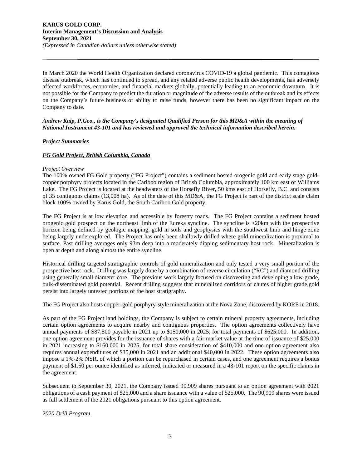In March 2020 the World Health Organization declared coronavirus COVID-19 a global pandemic. This contagious disease outbreak, which has continued to spread, and any related adverse public health developments, has adversely affected workforces, economies, and financial markets globally, potentially leading to an economic downturn. It is not possible for the Company to predict the duration or magnitude of the adverse results of the outbreak and its effects on the Company's future business or ability to raise funds, however there has been no significant impact on the Company to date.

## *Andrew Kaip, P.Geo., is the Company's designated Qualified Person for this MD&A within the meaning of National Instrument 43-101 and has reviewed and approved the technical information described herein.*

## *Project Summaries*

## *FG Gold Project, British Columbia, Canada*

#### *Project Overview*

The 100% owned FG Gold property ("FG Project") contains a sediment hosted orogenic gold and early stage goldcopper porphyry projects located in the Cariboo region of British Columbia, approximately 100 km east of Williams Lake. The FG Project is located at the headwaters of the Horsefly River, 50 kms east of Horsefly, B.C. and consists of 35 contiguous claims (13,008 ha). As of the date of this MD&A, the FG Project is part of the district scale claim block 100% owned by Karus Gold, the South Cariboo Gold property.

The FG Project is at low elevation and accessible by forestry roads. The FG Project contains a sediment hosted orogenic gold prospect on the northeast limb of the Eureka syncline. The syncline is >20km with the prospective horizon being defined by geologic mapping, gold in soils and geophysics with the southwest limb and hinge zone being largely underexplored. The Project has only been shallowly drilled where gold mineralization is proximal to surface. Past drilling averages only 93m deep into a moderately dipping sedimentary host rock. Mineralization is open at depth and along almost the entire syncline.

Historical drilling targeted stratigraphic controls of gold mineralization and only tested a very small portion of the prospective host rock. Drilling was largely done by a combination of reverse circulation ("RC") and diamond drilling using generally small diameter core. The previous work largely focused on discovering and developing a low-grade, bulk-disseminated gold potential. Recent drilling suggests that mineralized corridors or chutes of higher grade gold persist into largely untested portions of the host stratigraphy.

The FG Project also hosts copper-gold porphyry-style mineralization at the Nova Zone, discovered by KORE in 2018.

As part of the FG Project land holdings, the Company is subject to certain mineral property agreements, including certain option agreements to acquire nearby and contiguous properties. The option agreements collectively have annual payments of \$87,500 payable in 2021 up to \$150,000 in 2025, for total payments of \$625,000. In addition, one option agreement provides for the issuance of shares with a fair market value at the time of issuance of \$25,000 in 2021 increasing to \$160,000 in 2025, for total share consideration of \$410,000 and one option agreement also requires annual expenditures of \$35,000 in 2021 and an additional \$40,000 in 2022. These option agreements also impose a 1%-2% NSR, of which a portion can be repurchased in certain cases, and one agreement requires a bonus payment of \$1.50 per ounce identified as inferred, indicated or measured in a 43-101 report on the specific claims in the agreement.

Subsequent to September 30, 2021, the Company issued 90,909 shares pursuant to an option agreement with 2021 obligations of a cash payment of \$25,000 and a share issuance with a value of \$25,000. The 90,909 shares were issued as full settlement of the 2021 obligations pursuant to this option agreement.

#### *2020 Drill Program*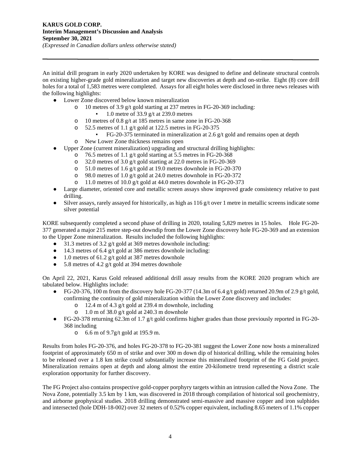An initial drill program in early 2020 undertaken by KORE was designed to define and delineate structural controls on existing higher-grade gold mineralization and target new discoveries at depth and on-strike. Eight (8) core drill holes for a total of 1,583 metres were completed. Assays for all eight holes were disclosed in three news releases with the following highlights:

- Lower Zone discovered below known mineralization
	- o 10 metres of 3.9 g/t gold starting at 237 metres in FG-20-369 including:
		- 1.0 metre of 33.9 g/t at 239.0 metres
	- o 10 metres of 0.8 g/t at 185 metres in same zone in FG-20-368
	- $\degree$  52.5 metres of 1.1 g/t gold at 122.5 metres in FG-20-375
		- $\blacktriangleright$  FG-20-375 terminated in mineralization at 2.6 g/t gold and remains open at depth
	- o New Lower Zone thickness remains open
- Upper Zone (current mineralization) upgrading and structural drilling highlights:
	- o 76.5 metres of 1.1 g/t gold starting at 5.5 metres in FG-20-368
	- o 32.0 metres of 3.0 g/t gold starting at 22.0 metres in FG-20-369
	- o 51.0 metres of 1.6 g/t gold at 19.0 metres downhole in FG-20-370
	- o 98.0 metres of 1.0 g/t gold at 24.0 metres downhole in FG-20-372
	- o 11.0 metres of 10.0 g/t gold at 44.0 metres downhole in FG-20-373
- Large diameter, oriented core and metallic screen assays show improved grade consistency relative to past drilling.
- $\bullet$  Silver assays, rarely assayed for historically, as high as 116 g/t over 1 metre in metallic screens indicate some silver potential

KORE subsequently completed a second phase of drilling in 2020, totaling 5,829 metres in 15 holes. Hole FG-20- 377 generated a major 215 metre step-out downdip from the Lower Zone discovery hole FG-20-369 and an extension to the Upper Zone mineralization. Results included the following highlights:

- 31.3 metres of 3.2 g/t gold at 369 metres downhole including:
- 14.3 metres of 6.4 g/t gold at 386 metres downhole including:
- $\bullet$  1.0 metres of 61.2 g/t gold at 387 metres downhole
- $\bullet$  5.8 metres of 4.2 g/t gold at 394 metres downhole

On April 22, 2021, Karus Gold released additional drill assay results from the KORE 2020 program which are tabulated below. Highlights include:

- FG-20-376, 100 m from the discovery hole FG-20-377 (14.3m of 6.4 g/t gold) returned 20.9m of 2.9 g/t gold, confirming the continuity of gold mineralization within the Lower Zone discovery and includes:
	- o 12.4 m of 4.3 g/t gold at 239.4 m downhole, including
	- o 1.0 m of 38.0 g/t gold at 240.3 m downhole
- FG-20-378 returning 62.3m of 1.7 g/t gold confirms higher grades than those previously reported in FG-20-368 including
	- o 6.6 m of 9.7g/t gold at 195.9 m.

Results from holes FG-20-376, and holes FG-20-378 to FG-20-381 suggest the Lower Zone now hosts a mineralized footprint of approximately 650 m of strike and over 300 m down dip of historical drilling, while the remaining holes to be released over a 1.8 km strike could substantially increase this mineralized footprint of the FG Gold project. Mineralization remains open at depth and along almost the entire 20-kilometre trend representing a district scale exploration opportunity for further discovery.

The FG Project also contains prospective gold-copper porphyry targets within an intrusion called the Nova Zone. The Nova Zone, potentially 3.5 km by 1 km, was discovered in 2018 through compilation of historical soil geochemistry, and airborne geophysical studies. 2018 drilling demonstrated semi-massive and massive copper and iron sulphides and intersected (hole DDH-18-002) over 32 meters of 0.52% copper equivalent, including 8.65 meters of 1.1% copper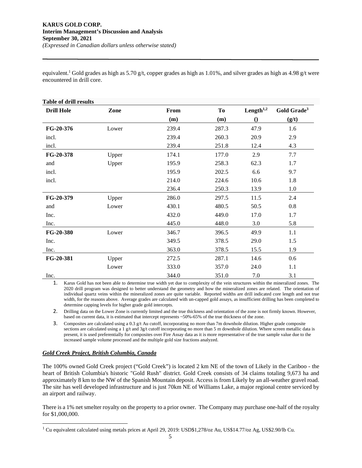equivalent.<sup>1</sup> Gold grades as high as 5.70 g/t, copper grades as high as 1.01%, and silver grades as high as 4.98 g/t were encountered in drill core.

| <b>Table of drill results</b> |       |       |       |                       |                         |  |
|-------------------------------|-------|-------|-------|-----------------------|-------------------------|--|
| <b>Drill Hole</b>             | Zone  | From  | To    | Length <sup>1,2</sup> | Gold Grade <sup>3</sup> |  |
|                               |       | (m)   | (m)   | $\Omega$              | (g/t)                   |  |
| FG-20-376                     | Lower | 239.4 | 287.3 | 47.9                  | 1.6                     |  |
| incl.                         |       | 239.4 | 260.3 | 20.9                  | 2.9                     |  |
| incl.                         |       | 239.4 | 251.8 | 12.4                  | 4.3                     |  |
| FG-20-378                     | Upper | 174.1 | 177.0 | 2.9                   | 7.7                     |  |
| and                           | Upper | 195.9 | 258.3 | 62.3                  | 1.7                     |  |
| incl.                         |       | 195.9 | 202.5 | 6.6                   | 9.7                     |  |
| incl.                         |       | 214.0 | 224.6 | 10.6                  | 1.8                     |  |
|                               |       | 236.4 | 250.3 | 13.9                  | 1.0                     |  |
| FG-20-379                     | Upper | 286.0 | 297.5 | 11.5                  | 2.4                     |  |
| and                           | Lower | 430.1 | 480.5 | 50.5                  | 0.8                     |  |
| Inc.                          |       | 432.0 | 449.0 | 17.0                  | 1.7                     |  |
| Inc.                          |       | 445.0 | 448.0 | 3.0                   | 5.8                     |  |
| FG-20-380                     | Lower | 346.7 | 396.5 | 49.9                  | 1.1                     |  |
| Inc.                          |       | 349.5 | 378.5 | 29.0                  | 1.5                     |  |
| Inc.                          |       | 363.0 | 378.5 | 15.5                  | 1.9                     |  |
| FG-20-381                     | Upper | 272.5 | 287.1 | 14.6                  | 0.6                     |  |
|                               | Lower | 333.0 | 357.0 | 24.0                  | 1.1                     |  |
| Inc.                          |       | 344.0 | 351.0 | 7.0                   | 3.1                     |  |

1. Karus Gold has not been able to determine true width yet due to complexity of the vein structures within the mineralized zones. The 2020 drill program was designed to better understand the geometry and how the mineralized zones are related. The orientation of individual quartz veins within the mineralized zones are quite variable. Reported widths are drill indicated core length and not true width, for the reasons above. Average grades are calculated with un-capped gold assays, as insufficient drilling has been completed to determine capping levels for higher grade gold intercepts.

2. Drilling data on the Lower Zone is currently limited and the true thickness and orientation of the zone is not firmly known. However, based on current data, it is estimated that intercept represents ~50%-65% of the true thickness of the zone.

3. Composites are calculated using a 0.3 g/t Au cutoff, incorporating no more than 7m downhole dilution. Higher grade composite sections are calculated using a 1 g/t and 3g/t cutoff incorporating no more than 5 m downhole dilution. Where screen metallic data is present, it is used preferentially for composites over Fire Assay data as it is more representative of the true sample value due to the increased sample volume processed and the multiple gold size fractions analyzed.

## *Gold Creek Project, British Columbia, Canada*

The 100% owned Gold Creek project ("Gold Creek") is located 2 km NE of the town of Likely in the Cariboo - the heart of British Columbia's historic "Gold Rush" district. Gold Creek consists of 34 claims totaling 9,673 ha and approximately 8 km to the NW of the Spanish Mountain deposit. Access is from Likely by an all-weather gravel road. The site has well developed infrastructure and is just 70km NE of Williams Lake, a major regional centre serviced by an airport and railway.

There is a 1% net smelter royalty on the property to a prior owner. The Company may purchase one-half of the royalty for \$1,000,000.

<sup>&</sup>lt;sup>1</sup> Cu equivalent calculated using metals prices at April 29, 2019: USD\$1,278/oz Au, US\$14.77/oz Ag, US\$2.90/lb Cu.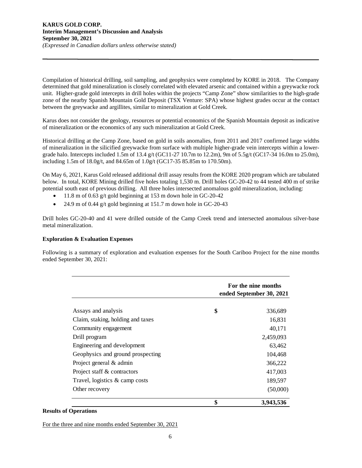Compilation of historical drilling, soil sampling, and geophysics were completed by KORE in 2018. The Company determined that gold mineralization is closely correlated with elevated arsenic and contained within a greywacke rock unit. Higher-grade gold intercepts in drill holes within the projects "Camp Zone" show similarities to the high-grade zone of the nearby Spanish Mountain Gold Deposit (TSX Venture: SPA) whose highest grades occur at the contact between the greywacke and argillites, similar to mineralization at Gold Creek.

Karus does not consider the geology, resources or potential economics of the Spanish Mountain deposit as indicative of mineralization or the economics of any such mineralization at Gold Creek.

Historical drilling at the Camp Zone, based on gold in soils anomalies, from 2011 and 2017 confirmed large widths of mineralization in the silicified greywacke from surface with multiple higher-grade vein intercepts within a lowergrade halo. Intercepts included 1.5m of 13.4 g/t (GC11-27 10.7m to 12.2m), 9m of 5.5g/t (GC17-34 16.0m to 25.0m), including 1.5m of 18.0g/t, and 84.65m of 1.0g/t (GC17-35 85.85m to 170.50m).

On May 6, 2021, Karus Gold released additional drill assay results from the KORE 2020 program which are tabulated below. In total, KORE Mining drilled five holes totaling 1,530 m. Drill holes GC-20-42 to 44 tested 400 m of strike potential south east of previous drilling. All three holes intersected anomalous gold mineralization, including:

- 11.8 m of 0.63 g/t gold beginning at 153 m down hole in GC-20-42
- 24.9 m of 0.44 g/t gold beginning at 151.7 m down hole in GC-20-43

Drill holes GC-20-40 and 41 were drilled outside of the Camp Creek trend and intersected anomalous silver-base metal mineralization.

## **Exploration & Evaluation Expenses**

Following is a summary of exploration and evaluation expenses for the South Cariboo Project for the nine months ended September 30, 2021:

|                                   | For the nine months<br>ended September 30, 2021 |  |
|-----------------------------------|-------------------------------------------------|--|
| Assays and analysis               | \$<br>336,689                                   |  |
| Claim, staking, holding and taxes | 16,831                                          |  |
| Community engagement              | 40,171                                          |  |
| Drill program                     | 2,459,093                                       |  |
| Engineering and development       | 63,462                                          |  |
| Geophysics and ground prospecting | 104,468                                         |  |
| Project general & admin           | 366,222                                         |  |
| Project staff & contractors       | 417,003                                         |  |
| Travel, logistics & camp costs    | 189,597                                         |  |
| Other recovery                    | (50,000)                                        |  |
|                                   | \$<br>3,943,536                                 |  |

#### **Results of Operations**

For the three and nine months ended September 30, 2021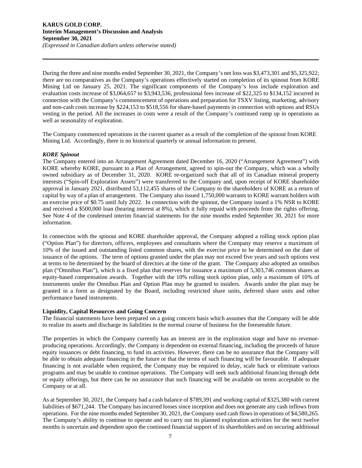During the three and nine months ended September 30, 2021, the Company's net loss was \$3,473,301 and \$5,325,922; there are no comparatives as the Company's operations effectively started on completion of its spinout from KORE Mining Ltd on January 25, 2021. The significant components of the Company's loss include exploration and evaluation costs increase of \$3,064,657 to \$3,943,536, professional fees increase of \$22,325 to \$134,152 incurred in connection with the Company's commencement of operations and preparation for TSXV listing, marketing, advisory and non-cash costs increase by \$224,153 to \$518,556 for share-based payments in connection with options and RSUs vesting in the period. All the increases in costs were a result of the Company's continued ramp up in operations as well as seasonality of exploration.

The Company commenced operations in the current quarter as a result of the completion of the spinout from KORE Mining Ltd. Accordingly, there is no historical quarterly or annual information to present.

## *KORE Spinout*

The Company entered into an Arrangement Agreement dated December 16, 2020 ("Arrangement Agreement") with KORE whereby KORE, pursuant to a Plan of Arrangement, agreed to spin-out the Company, which was a wholly owned subsidiary as of December 31, 2020. KORE re-organized such that all of its Canadian mineral property interests ("Spin-off Exploration Assets") were transferred to the Company and, upon receipt of KORE shareholder approval in January 2021, distributed 53,112,455 shares of the Company to the shareholders of KORE as a return of capital by way of a plan of arrangement. The Company also issued 1,750,000 warrants to KORE warrant holders with an exercise price of \$0.75 until July 2022. In connection with the spinout, the Company issued a 1% NSR to KORE and received a \$500,000 loan (bearing interest at 8%), which it fully repaid with proceeds from the rights offering. See Note 4 of the condensed interim financial statements for the nine months ended September 30, 2021 for more information.

In connection with the spinout and KORE shareholder approval, the Company adopted a rolling stock option plan ("Option Plan") for directors, officers, employees and consultants where the Company may reserve a maximum of 10% of the issued and outstanding listed common shares, with the exercise price to be determined on the date of issuance of the options. The term of options granted under the plan may not exceed five years and such options vest at terms to be determined by the board of directors at the time of the grant. The Company also adopted an omnibus plan ("Omnibus Plan"), which is a fixed plan that reserves for issuance a maximum of 5,303,746 common shares as equity-based compensation awards. Together with the 10% rolling stock option plan, only a maximum of 10% of instruments under the Omnibus Plan and Option Plan may be granted to insiders. Awards under the plan may be granted in a form as designated by the Board, including restricted share units, deferred share units and other performance based instruments.

## **Liquidity, Capital Resources and Going Concern**

The financial statements have been prepared on a going concern basis which assumes that the Company will be able to realize its assets and discharge its liabilities in the normal course of business for the foreseeable future.

The properties in which the Company currently has an interest are in the exploration stage and have no revenueproducing operations. Accordingly, the Company is dependent on external financing, including the proceeds of future equity issuances or debt financing, to fund its activities. However, there can be no assurance that the Company will be able to obtain adequate financing in the future or that the terms of such financing will be favourable. If adequate financing is not available when required, the Company may be required to delay, scale back or eliminate various programs and may be unable to continue operations. The Company will seek such additional financing through debt or equity offerings, but there can be no assurance that such financing will be available on terms acceptable to the Company or at all.

As at September 30, 2021, the Company had a cash balance of \$789,391 and working capital of \$325,380 with current liabilities of \$671,244. The Company has incurred losses since inception and does not generate any cash inflows from operations. For the nine months ended September 30, 2021, the Company used cash flows in operations of \$4,580,265. The Company's ability to continue to operate and to carry out its planned exploration activities for the next twelve months is uncertain and dependent upon the continued financial support of its shareholders and on securing additional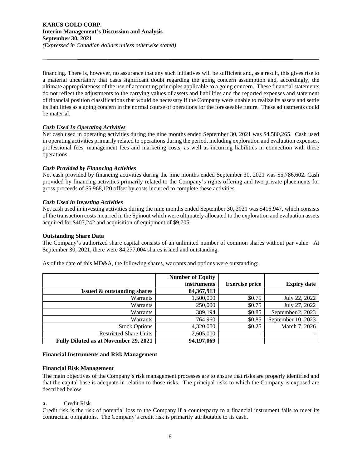#### **KARUS GOLD CORP. Interim Management's Discussion and Analysis September 30, 2021**  *(Expressed in Canadian dollars unless otherwise stated)*

financing. There is, however, no assurance that any such initiatives will be sufficient and, as a result, this gives rise to a material uncertainty that casts significant doubt regarding the going concern assumption and, accordingly, the ultimate appropriateness of the use of accounting principles applicable to a going concern. These financial statements do not reflect the adjustments to the carrying values of assets and liabilities and the reported expenses and statement of financial position classifications that would be necessary if the Company were unable to realize its assets and settle its liabilities as a going concern in the normal course of operations for the foreseeable future. These adjustments could be material.

## *Cash Used In Operating Activities*

Net cash used in operating activities during the nine months ended September 30, 2021 was \$4,580,265. Cash used in operating activities primarily related to operations during the period, including exploration and evaluation expenses, professional fees, management fees and marketing costs, as well as incurring liabilities in connection with these operations.

## *Cash Provided by Financing Activities*

Net cash provided by financing activities during the nine months ended September 30, 2021 was \$5,786,602. Cash provided by financing activities primarily related to the Company's rights offering and two private placements for gross proceeds of \$5,968,120 offset by costs incurred to complete these activities.

## *Cash Used in Investing Activities*

Net cash used in investing activities during the nine months ended September 30, 2021 was \$416,947, which consists of the transaction costs incurred in the Spinout which were ultimately allocated to the exploration and evaluation assets acquired for \$407,242 and acquisition of equipment of \$9,705.

#### **Outstanding Share Data**

The Company's authorized share capital consists of an unlimited number of common shares without par value. At September 30, 2021, there were 84,277,004 shares issued and outstanding.

|                                              | <b>Number of Equity</b><br><i>instruments</i> | <b>Exercise price</b> | <b>Expiry date</b> |
|----------------------------------------------|-----------------------------------------------|-----------------------|--------------------|
| <b>Issued &amp; outstanding shares</b>       | 84, 367, 913                                  |                       |                    |
| Warrants                                     | 1,500,000                                     | \$0.75                | July 22, 2022      |
| Warrants                                     | 250,000                                       | \$0.75                | July 27, 2022      |
| Warrants                                     | 389,194                                       | \$0.85                | September 2, 2023  |
| Warrants                                     | 764,960                                       | \$0.85                | September 10, 2023 |
| <b>Stock Options</b>                         | 4,320,000                                     | \$0.25                | March 7, 2026      |
| <b>Restricted Share Units</b>                | 2,605,000                                     |                       |                    |
| <b>Fully Diluted as at November 29, 2021</b> | 94,197,069                                    |                       |                    |

As of the date of this MD&A, the following shares, warrants and options were outstanding:

## **Financial Instruments and Risk Management**

#### **Financial Risk Management**

The main objectives of the Company's risk management processes are to ensure that risks are properly identified and that the capital base is adequate in relation to those risks. The principal risks to which the Company is exposed are described below.

#### **a.** Credit Risk

Credit risk is the risk of potential loss to the Company if a counterparty to a financial instrument fails to meet its contractual obligations. The Company's credit risk is primarily attributable to its cash.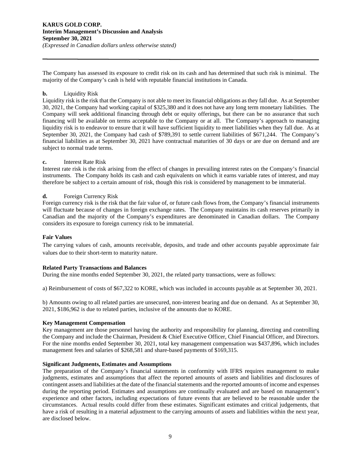#### **KARUS GOLD CORP. Interim Management's Discussion and Analysis September 30, 2021**  *(Expressed in Canadian dollars unless otherwise stated)*

The Company has assessed its exposure to credit risk on its cash and has determined that such risk is minimal. The majority of the Company's cash is held with reputable financial institutions in Canada.

## **b.** Liquidity Risk

Liquidity risk is the risk that the Company is not able to meet its financial obligations as they fall due. As at September 30, 2021, the Company had working capital of \$325,380 and it does not have any long term monetary liabilities. The Company will seek additional financing through debt or equity offerings, but there can be no assurance that such financing will be available on terms acceptable to the Company or at all. The Company's approach to managing liquidity risk is to endeavor to ensure that it will have sufficient liquidity to meet liabilities when they fall due. As at September 30, 2021, the Company had cash of \$789,391 to settle current liabilities of \$671,244. The Company's financial liabilities as at September 30, 2021 have contractual maturities of 30 days or are due on demand and are subject to normal trade terms.

## **c.** Interest Rate Risk

Interest rate risk is the risk arising from the effect of changes in prevailing interest rates on the Company's financial instruments. The Company holds its cash and cash equivalents on which it earns variable rates of interest, and may therefore be subject to a certain amount of risk, though this risk is considered by management to be immaterial.

## **d.** Foreign Currency Risk

Foreign currency risk is the risk that the fair value of, or future cash flows from, the Company's financial instruments will fluctuate because of changes in foreign exchange rates. The Company maintains its cash reserves primarily in Canadian and the majority of the Company's expenditures are denominated in Canadian dollars. The Company considers its exposure to foreign currency risk to be immaterial.

## **Fair Values**

The carrying values of cash, amounts receivable, deposits, and trade and other accounts payable approximate fair values due to their short-term to maturity nature.

#### **Related Party Transactions and Balances**

During the nine months ended September 30, 2021, the related party transactions, were as follows:

a) Reimbursement of costs of \$67,322 to KORE, which was included in accounts payable as at September 30, 2021.

b) Amounts owing to all related parties are unsecured, non-interest bearing and due on demand. As at September 30, 2021, \$186,962 is due to related parties, inclusive of the amounts due to KORE.

#### **Key Management Compensation**

Key management are those personnel having the authority and responsibility for planning, directing and controlling the Company and include the Chairman, President & Chief Executive Officer, Chief Financial Officer, and Directors. For the nine months ended September 30, 2021, total key management compensation was \$437,896, which includes management fees and salaries of \$268,581 and share-based payments of \$169,315.

## **Significant Judgments, Estimates and Assumptions**

The preparation of the Company's financial statements in conformity with IFRS requires management to make judgments, estimates and assumptions that affect the reported amounts of assets and liabilities and disclosures of contingent assets and liabilities at the date of the financial statements and the reported amounts of income and expenses during the reporting period. Estimates and assumptions are continually evaluated and are based on management's experience and other factors, including expectations of future events that are believed to be reasonable under the circumstances. Actual results could differ from these estimates. Significant estimates and critical judgements, that have a risk of resulting in a material adjustment to the carrying amounts of assets and liabilities within the next year, are disclosed below.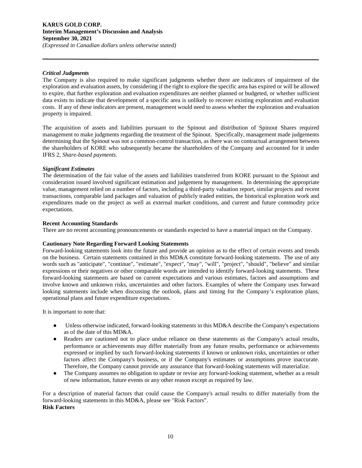## *Critical Judgments*

The Company is also required to make significant judgments whether there are indicators of impairment of the exploration and evaluation assets, by considering if the right to explore the specific area has expired or will be allowed to expire, that further exploration and evaluation expenditures are neither planned or budgeted, or whether sufficient data exists to indicate that development of a specific area is unlikely to recover existing exploration and evaluation costs. If any of these indicators are present, management would need to assess whether the exploration and evaluation property is impaired.

The acquisition of assets and liabilities pursuant to the Spinout and distribution of Spinout Shares required management to make judgments regarding the treatment of the Spinout. Specifically, management made judgements determining that the Spinout was not a common-control transaction, as there was no contractual arrangement between the shareholders of KORE who subsequently became the shareholders of the Company and accounted for it under IFRS 2, *Share-based payments*.

#### *Significant Estimates*

The determination of the fair value of the assets and liabilities transferred from KORE pursuant to the Spinout and consideration issued involved significant estimation and judgement by management. In determining the appropriate value, management relied on a number of factors, including a third-party valuation report, similar projects and recent transactions, comparable land packages and valuation of publicly traded entities, the historical exploration work and expenditures made on the project as well as external market conditions, and current and future commodity price expectations.

#### **Recent Accounting Standards**

There are no recent accounting pronouncements or standards expected to have a material impact on the Company.

## **Cautionary Note Regarding Forward Looking Statements**

Forward-looking statements look into the future and provide an opinion as to the effect of certain events and trends on the business. Certain statements contained in this MD&A constitute forward-looking statements. The use of any words such as "anticipate", "continue", "estimate", "expect", "may", "will", "project", "should", "believe" and similar expressions or their negatives or other comparable words are intended to identify forward-looking statements. These forward-looking statements are based on current expectations and various estimates, factors and assumptions and involve known and unknown risks, uncertainties and other factors. Examples of where the Company uses forward looking statements include when discussing the outlook, plans and timing for the Company's exploration plans, operational plans and future expenditure expectations.

It is important to note that:

- Unless otherwise indicated, forward-looking statements in this MD&A describe the Company's expectations as of the date of this MD&A.
- Readers are cautioned not to place undue reliance on these statements as the Company's actual results, performance or achievements may differ materially from any future results, performance or achievements expressed or implied by such forward-looking statements if known or unknown risks, uncertainties or other factors affect the Company's business, or if the Company's estimates or assumptions prove inaccurate. Therefore, the Company cannot provide any assurance that forward-looking statements will materialize.
- The Company assumes no obligation to update or revise any forward-looking statement, whether as a result of new information, future events or any other reason except as required by law.

For a description of material factors that could cause the Company's actual results to differ materially from the forward-looking statements in this MD&A, please see "Risk Factors". **Risk Factors**